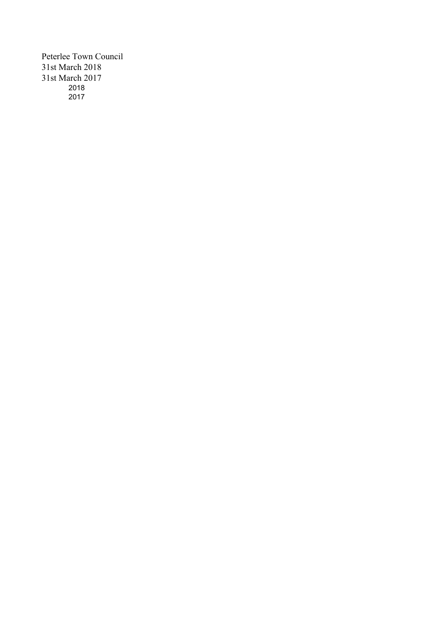Peterlee Town Council 31st March 2018 31st March 2017 2018 2017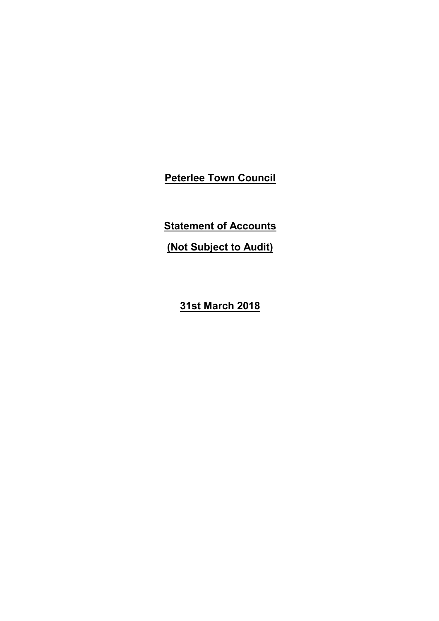**Statement of Accounts**

**(Not Subject to Audit)**

**31st March 2018**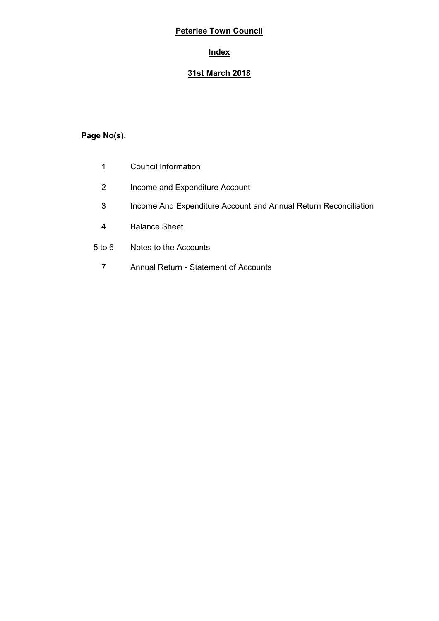# **Index**

## **31st March 2018**

# **Page No(s).**

- 1 Council Information
- 2 Income and Expenditure Account
- 3 Income And Expenditure Account and Annual Return Reconciliation
- 4 Balance Sheet
- 5 to 6 Notes to the Accounts
	- 7 Annual Return Statement of Accounts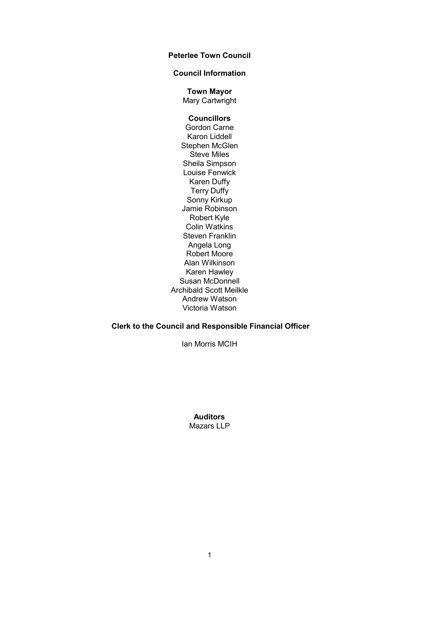## **Council Information**

**Town Mayor** Mary Cartwright

## **Councillors**

Gordon Carne Karon Liddell Stephen McGlen Steve Miles Sheila Simpson Louise Fenwick Karen Duffy Terry Duffy Sonny Kirkup Jamie Robinson Robert Kyle Colin Watkins Steven Franklin Angela Long Robert Moore Alan Wilkinson Karen Hawley Susan McDonnell Archibald Scott Meilkle Andrew Watson Victoria Watson

## **Clerk to the Council and Responsible Financial Officer**

Ian Morris MCIH

**Auditors** Mazars LLP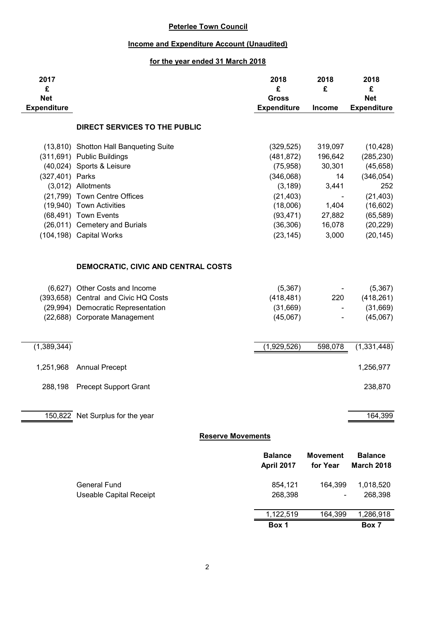## **Income and Expenditure Account (Unaudited)**

## **for the year ended 31 March 2018**

| 2017<br>£                        |                                                       | 2018<br>£                          | 2018<br>£                   | 2018<br>£                           |
|----------------------------------|-------------------------------------------------------|------------------------------------|-----------------------------|-------------------------------------|
| <b>Net</b><br><b>Expenditure</b> |                                                       | <b>Gross</b><br><b>Expenditure</b> | <b>Income</b>               | <b>Net</b><br><b>Expenditure</b>    |
|                                  | DIRECT SERVICES TO THE PUBLIC                         |                                    |                             |                                     |
|                                  | (13,810) Shotton Hall Banqueting Suite                | (329, 525)                         | 319,097                     | (10, 428)                           |
|                                  | (311,691) Public Buildings                            | (481, 872)                         | 196,642                     | (285, 230)                          |
|                                  | (40,024) Sports & Leisure                             | (75, 958)                          | 30,301                      | (45, 658)                           |
| (327,401) Parks                  |                                                       | (346,068)                          | 14                          | (346, 054)                          |
|                                  | (3,012) Allotments                                    | (3, 189)                           | 3,441                       | 252                                 |
|                                  | (21,799) Town Centre Offices                          | (21, 403)                          |                             | (21, 403)                           |
|                                  | (19,940) Town Activities<br>(68,491) Town Events      | (18,006)<br>(93, 471)              | 1,404<br>27,882             | (16, 602)<br>(65, 589)              |
|                                  | (26,011) Cemetery and Burials                         | (36, 306)                          | 16,078                      | (20, 229)                           |
|                                  | (104,198) Capital Works                               | (23, 145)                          | 3,000                       | (20, 145)                           |
|                                  |                                                       |                                    |                             |                                     |
|                                  | DEMOCRATIC, CIVIC AND CENTRAL COSTS                   |                                    |                             |                                     |
|                                  | (6,627) Other Costs and Income                        | (5,367)                            |                             | (5, 367)                            |
|                                  | (393,658) Central and Civic HQ Costs                  | (418, 481)                         | 220                         | (418, 261)                          |
|                                  | (29,994) Democratic Representation                    | (31, 669)                          | $\blacksquare$              | (31,669)                            |
|                                  | (22,688) Corporate Management                         | (45,067)                           |                             | (45,067)                            |
| (1,389,344)                      |                                                       | (1,929,526)                        | 598,078                     | (1,331,448)                         |
| 1,251,968                        | <b>Annual Precept</b>                                 |                                    |                             | 1,256,977                           |
|                                  |                                                       |                                    |                             |                                     |
| 288,198                          | <b>Precept Support Grant</b>                          |                                    |                             | 238,870                             |
|                                  | 150,822 Net Surplus for the year                      |                                    |                             | 164,399                             |
|                                  |                                                       | <b>Reserve Movements</b>           |                             |                                     |
|                                  |                                                       | <b>Balance</b><br>April 2017       | <b>Movement</b><br>for Year | <b>Balance</b><br><b>March 2018</b> |
|                                  | <b>General Fund</b><br><b>Useable Capital Receipt</b> | 854,121<br>268,398                 | 164,399                     | 1,018,520<br>268,398                |
|                                  |                                                       | 1,122,519                          | 164,399                     | 1,286,918                           |
|                                  |                                                       | Box 1                              |                             | Box 7                               |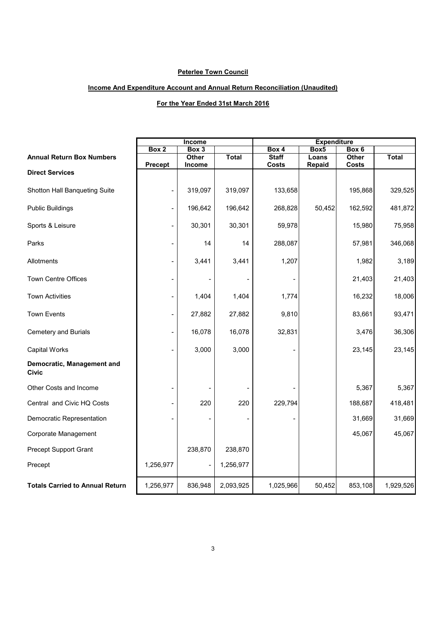## **Income And Expenditure Account and Annual Return Reconciliation (Unaudited)**

## **For the Year Ended 31st March 2016**

|                                            | Income         |         | <b>Expenditure</b> |              |                  |              |              |
|--------------------------------------------|----------------|---------|--------------------|--------------|------------------|--------------|--------------|
|                                            | Box 2          | Box 3   |                    | Box 4        | Box <sub>5</sub> | Box 6        |              |
| <b>Annual Return Box Numbers</b>           |                | Other   | <b>Total</b>       | <b>Staff</b> | Loans            | Other        | <b>Total</b> |
| <b>Direct Services</b>                     | <b>Precept</b> | Income  |                    | <b>Costs</b> | Repaid           | <b>Costs</b> |              |
|                                            |                |         |                    |              |                  |              |              |
| Shotton Hall Banqueting Suite              |                | 319,097 | 319,097            | 133,658      |                  | 195,868      | 329,525      |
| <b>Public Buildings</b>                    |                | 196,642 | 196,642            | 268,828      | 50,452           | 162,592      | 481,872      |
| Sports & Leisure                           |                | 30,301  | 30,301             | 59,978       |                  | 15,980       | 75,958       |
| Parks                                      |                | 14      | 14                 | 288,087      |                  | 57,981       | 346,068      |
| Allotments                                 |                | 3,441   | 3,441              | 1,207        |                  | 1,982        | 3,189        |
| <b>Town Centre Offices</b>                 |                |         |                    |              |                  | 21,403       | 21,403       |
| <b>Town Activities</b>                     |                | 1,404   | 1,404              | 1,774        |                  | 16,232       | 18,006       |
| <b>Town Events</b>                         |                | 27,882  | 27,882             | 9,810        |                  | 83,661       | 93,471       |
| <b>Cemetery and Burials</b>                |                | 16,078  | 16,078             | 32,831       |                  | 3,476        | 36,306       |
| <b>Capital Works</b>                       |                | 3,000   | 3,000              |              |                  | 23,145       | 23,145       |
| Democratic, Management and<br><b>Civic</b> |                |         |                    |              |                  |              |              |
| Other Costs and Income                     |                |         |                    |              |                  | 5,367        | 5,367        |
| Central and Civic HQ Costs                 |                | 220     | 220                | 229,794      |                  | 188,687      | 418,481      |
| Democratic Representation                  |                |         |                    |              |                  | 31,669       | 31,669       |
| Corporate Management                       |                |         |                    |              |                  | 45,067       | 45,067       |
| <b>Precept Support Grant</b>               |                | 238,870 | 238,870            |              |                  |              |              |
| Precept                                    | 1,256,977      |         | 1,256,977          |              |                  |              |              |
| <b>Totals Carried to Annual Return</b>     | 1,256,977      | 836,948 | 2,093,925          | 1,025,966    | 50,452           | 853,108      | 1,929,526    |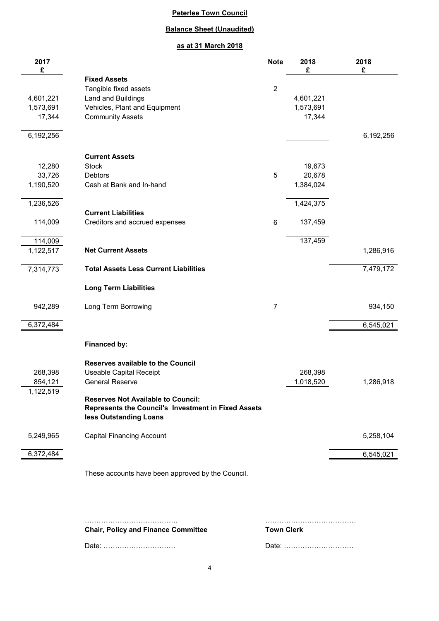## **Balance Sheet (Unaudited)**

## **as at 31 March 2018**

| 2017<br>£          |                                                          | <b>Note</b>    | 2018<br>£            | 2018<br>£ |
|--------------------|----------------------------------------------------------|----------------|----------------------|-----------|
|                    | <b>Fixed Assets</b>                                      |                |                      |           |
|                    | Tangible fixed assets                                    | $\overline{2}$ |                      |           |
| 4,601,221          | Land and Buildings                                       |                | 4,601,221            |           |
| 1,573,691          | Vehicles, Plant and Equipment                            |                | 1,573,691            |           |
| 17,344             | <b>Community Assets</b>                                  |                | 17,344               |           |
| 6,192,256          |                                                          |                |                      | 6,192,256 |
|                    | <b>Current Assets</b>                                    |                |                      |           |
| 12,280             | <b>Stock</b>                                             |                | 19,673               |           |
| 33,726             | <b>Debtors</b>                                           | 5              | 20,678               |           |
| 1,190,520          | Cash at Bank and In-hand                                 |                | 1,384,024            |           |
|                    |                                                          |                |                      |           |
| 1,236,526          | <b>Current Liabilities</b>                               |                | 1,424,375            |           |
| 114,009            | Creditors and accrued expenses                           | $\,6$          | 137,459              |           |
|                    |                                                          |                |                      |           |
| 114,009            |                                                          |                | 137,459              |           |
| 1,122,517          | <b>Net Current Assets</b>                                |                |                      | 1,286,916 |
| 7,314,773          | <b>Total Assets Less Current Liabilities</b>             |                |                      | 7,479,172 |
|                    | <b>Long Term Liabilities</b>                             |                |                      |           |
| 942,289            | Long Term Borrowing                                      | 7              |                      | 934,150   |
| 6,372,484          |                                                          |                |                      | 6,545,021 |
|                    | Financed by:                                             |                |                      |           |
|                    |                                                          |                |                      |           |
|                    | <b>Reserves available to the Council</b>                 |                |                      |           |
| 268,398<br>854,121 | <b>Useable Capital Receipt</b><br><b>General Reserve</b> |                | 268,398<br>1,018,520 | 1,286,918 |
| 1,122,519          |                                                          |                |                      |           |
|                    | <b>Reserves Not Available to Council:</b>                |                |                      |           |
|                    | Represents the Council's Investment in Fixed Assets      |                |                      |           |
|                    | less Outstanding Loans                                   |                |                      |           |
| 5,249,965          | <b>Capital Financing Account</b>                         |                |                      | 5,258,104 |
|                    |                                                          |                |                      |           |
| 6,372,484          |                                                          |                |                      | 6,545,021 |
|                    | These accounts have been approved by the Council.        |                |                      |           |
|                    |                                                          |                |                      |           |
|                    |                                                          |                |                      |           |
|                    |                                                          |                |                      |           |
|                    |                                                          |                |                      |           |

**Chair, Policy and Finance Committee Town Clerk**

Date: …………………………. Date: …………………………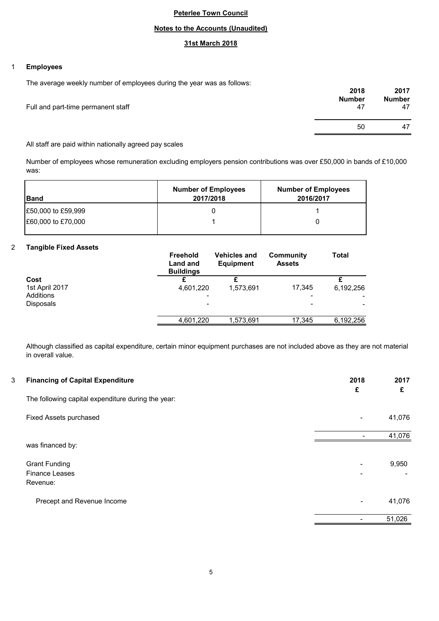## **Notes to the Accounts (Unaudited)**

## **31st March 2018**

#### 1 **Employees**

The average weekly number of employees during the year was as follows:

|                                    | 2018<br><b>Number</b> | 2017<br><b>Number</b> |
|------------------------------------|-----------------------|-----------------------|
| Full and part-time permanent staff | 47                    | 47                    |
|                                    | 50                    | 47                    |
|                                    |                       |                       |

All staff are paid within nationally agreed pay scales

Number of employees whose remuneration excluding employers pension contributions was over £50,000 in bands of £10,000 was:

| <b>IBand</b>       | <b>Number of Employees</b><br>2017/2018 | <b>Number of Employees</b><br>2016/2017 |
|--------------------|-----------------------------------------|-----------------------------------------|
| £50,000 to £59,999 |                                         |                                         |
| E60,000 to £70,000 |                                         |                                         |
|                    |                                         |                                         |

#### 2 **Tangible Fixed Assets**

|                  | <b>Freehold</b><br>Land and<br><b>Buildings</b> | <b>Vehicles and</b><br><b>Equipment</b> | Community<br><b>Assets</b> | <b>Total</b>   |
|------------------|-------------------------------------------------|-----------------------------------------|----------------------------|----------------|
| Cost             |                                                 |                                         |                            |                |
| 1st April 2017   | 4,601,220                                       | 1,573,691                               | 17,345                     | 6,192,256      |
| Additions        | $\blacksquare$                                  |                                         |                            | $\blacksquare$ |
| <b>Disposals</b> | -                                               |                                         | -                          |                |
|                  |                                                 |                                         |                            |                |
|                  | 4,601,220                                       | 1,573,691                               | 17,345                     | 6,192,256      |

Although classified as capital expenditure, certain minor equipment purchases are not included above as they are not material in overall value.

| 3 | <b>Financing of Capital Expenditure</b>            | 2018<br>£                | 2017<br>£ |
|---|----------------------------------------------------|--------------------------|-----------|
|   | The following capital expenditure during the year: |                          |           |
|   | Fixed Assets purchased                             | -                        | 41,076    |
|   |                                                    |                          | 41,076    |
|   | was financed by:                                   |                          |           |
|   | <b>Grant Funding</b>                               | -                        | 9,950     |
|   | <b>Finance Leases</b>                              |                          |           |
|   | Revenue:                                           |                          |           |
|   | Precept and Revenue Income                         | $\overline{\phantom{0}}$ | 41,076    |
|   |                                                    |                          | 51,026    |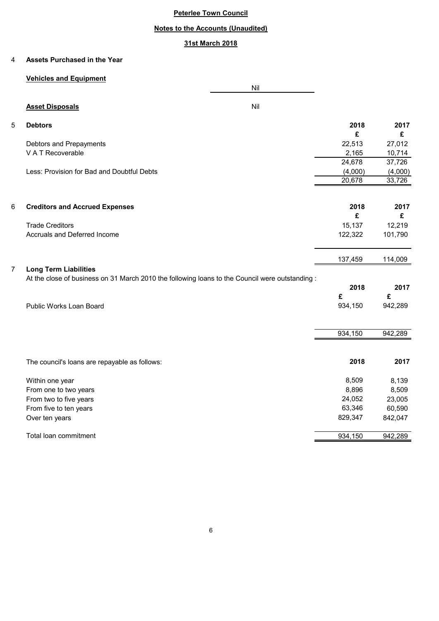## **Notes to the Accounts (Unaudited)**

## **31st March 2018**

#### 4 **Assets Purchased in the Year**

## **Vehicles and Equipment**

|   |                                                                                                 | Nil |         |         |
|---|-------------------------------------------------------------------------------------------------|-----|---------|---------|
|   | <b>Asset Disposals</b>                                                                          | Nil |         |         |
| 5 | <b>Debtors</b>                                                                                  |     | 2018    | 2017    |
|   |                                                                                                 |     | £       | £       |
|   | Debtors and Prepayments                                                                         |     | 22,513  | 27,012  |
|   | V A T Recoverable                                                                               |     | 2,165   | 10,714  |
|   |                                                                                                 |     | 24,678  | 37,726  |
|   | Less: Provision for Bad and Doubtful Debts                                                      |     | (4,000) | (4,000) |
|   |                                                                                                 |     | 20,678  | 33,726  |
| 6 | <b>Creditors and Accrued Expenses</b>                                                           |     | 2018    | 2017    |
|   |                                                                                                 |     | £       | £       |
|   | <b>Trade Creditors</b>                                                                          |     | 15,137  | 12,219  |
|   | Accruals and Deferred Income                                                                    |     | 122,322 | 101,790 |
|   |                                                                                                 |     | 137,459 | 114,009 |
| 7 | <b>Long Term Liabilities</b>                                                                    |     |         |         |
|   | At the close of business on 31 March 2010 the following loans to the Council were outstanding : |     |         |         |
|   |                                                                                                 |     | 2018    | 2017    |
|   |                                                                                                 |     | £       | £       |
|   | Public Works Loan Board                                                                         |     | 934,150 | 942,289 |
|   |                                                                                                 |     | 934,150 | 942,289 |
|   |                                                                                                 |     |         |         |
|   | The council's loans are repayable as follows:                                                   |     | 2018    | 2017    |
|   | Within one year                                                                                 |     | 8,509   | 8,139   |
|   | From one to two years                                                                           |     | 8,896   | 8,509   |
|   | From two to five years                                                                          |     | 24,052  | 23,005  |
|   | From five to ten years                                                                          |     | 63,346  | 60,590  |
|   | Over ten years                                                                                  |     | 829,347 | 842,047 |
|   |                                                                                                 |     |         |         |

Total loan commitment 842,289